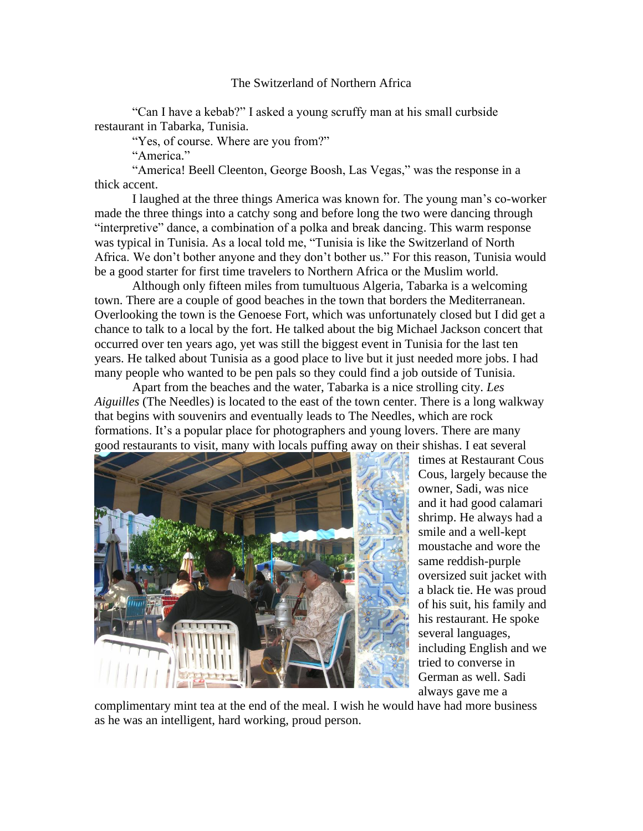## The Switzerland of Northern Africa

"Can I have a kebab?" I asked a young scruffy man at his small curbside restaurant in Tabarka, Tunisia.

"Yes, of course. Where are you from?"

"America."

"America! Beell Cleenton, George Boosh, Las Vegas," was the response in a thick accent.

I laughed at the three things America was known for. The young man's co-worker made the three things into a catchy song and before long the two were dancing through "interpretive" dance, a combination of a polka and break dancing. This warm response was typical in Tunisia. As a local told me, "Tunisia is like the Switzerland of North Africa. We don't bother anyone and they don't bother us." For this reason, Tunisia would be a good starter for first time travelers to Northern Africa or the Muslim world.

Although only fifteen miles from tumultuous Algeria, Tabarka is a welcoming town. There are a couple of good beaches in the town that borders the Mediterranean. Overlooking the town is the Genoese Fort, which was unfortunately closed but I did get a chance to talk to a local by the fort. He talked about the big Michael Jackson concert that occurred over ten years ago, yet was still the biggest event in Tunisia for the last ten years. He talked about Tunisia as a good place to live but it just needed more jobs. I had many people who wanted to be pen pals so they could find a job outside of Tunisia.

Apart from the beaches and the water, Tabarka is a nice strolling city. *Les Aiguilles* (The Needles) is located to the east of the town center. There is a long walkway that begins with souvenirs and eventually leads to The Needles, which are rock formations. It's a popular place for photographers and young lovers. There are many good restaurants to visit, many with locals puffing away on their shishas. I eat several



times at Restaurant Cous Cous, largely because the owner, Sadi, was nice and it had good calamari shrimp. He always had a smile and a well-kept moustache and wore the same reddish-purple oversized suit jacket with a black tie. He was proud of his suit, his family and his restaurant. He spoke several languages, including English and we tried to converse in German as well. Sadi always gave me a

complimentary mint tea at the end of the meal. I wish he would have had more business as he was an intelligent, hard working, proud person.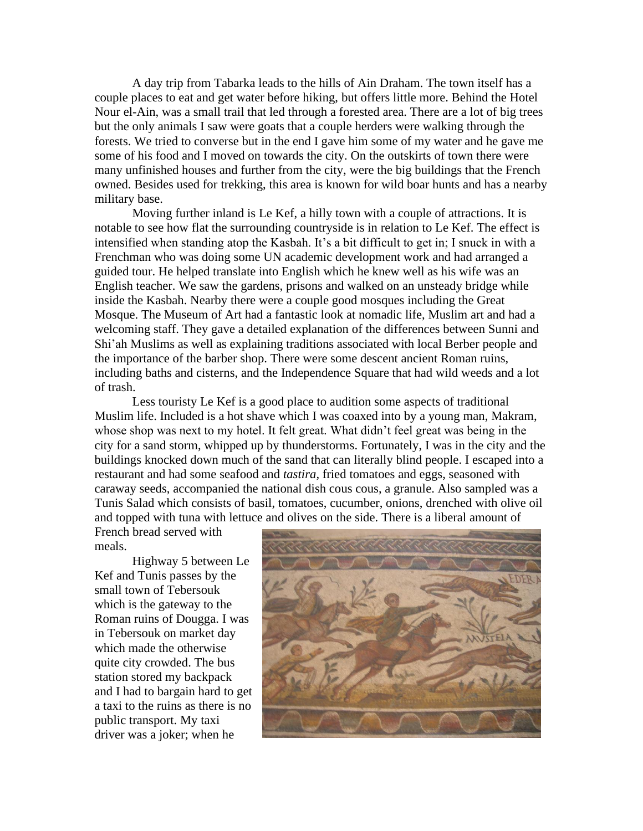A day trip from Tabarka leads to the hills of Ain Draham. The town itself has a couple places to eat and get water before hiking, but offers little more. Behind the Hotel Nour el-Ain, was a small trail that led through a forested area. There are a lot of big trees but the only animals I saw were goats that a couple herders were walking through the forests. We tried to converse but in the end I gave him some of my water and he gave me some of his food and I moved on towards the city. On the outskirts of town there were many unfinished houses and further from the city, were the big buildings that the French owned. Besides used for trekking, this area is known for wild boar hunts and has a nearby military base.

Moving further inland is Le Kef, a hilly town with a couple of attractions. It is notable to see how flat the surrounding countryside is in relation to Le Kef. The effect is intensified when standing atop the Kasbah. It's a bit difficult to get in; I snuck in with a Frenchman who was doing some UN academic development work and had arranged a guided tour. He helped translate into English which he knew well as his wife was an English teacher. We saw the gardens, prisons and walked on an unsteady bridge while inside the Kasbah. Nearby there were a couple good mosques including the Great Mosque. The Museum of Art had a fantastic look at nomadic life, Muslim art and had a welcoming staff. They gave a detailed explanation of the differences between Sunni and Shi'ah Muslims as well as explaining traditions associated with local Berber people and the importance of the barber shop. There were some descent ancient Roman ruins, including baths and cisterns, and the Independence Square that had wild weeds and a lot of trash.

Less touristy Le Kef is a good place to audition some aspects of traditional Muslim life. Included is a hot shave which I was coaxed into by a young man, Makram, whose shop was next to my hotel. It felt great. What didn't feel great was being in the city for a sand storm, whipped up by thunderstorms. Fortunately, I was in the city and the buildings knocked down much of the sand that can literally blind people. I escaped into a restaurant and had some seafood and *tastira,* fried tomatoes and eggs, seasoned with caraway seeds, accompanied the national dish cous cous, a granule. Also sampled was a Tunis Salad which consists of basil, tomatoes, cucumber, onions, drenched with olive oil and topped with tuna with lettuce and olives on the side. There is a liberal amount of

French bread served with meals.

Highway 5 between Le Kef and Tunis passes by the small town of Tebersouk which is the gateway to the Roman ruins of Dougga. I was in Tebersouk on market day which made the otherwise quite city crowded. The bus station stored my backpack and I had to bargain hard to get a taxi to the ruins as there is no public transport. My taxi driver was a joker; when he

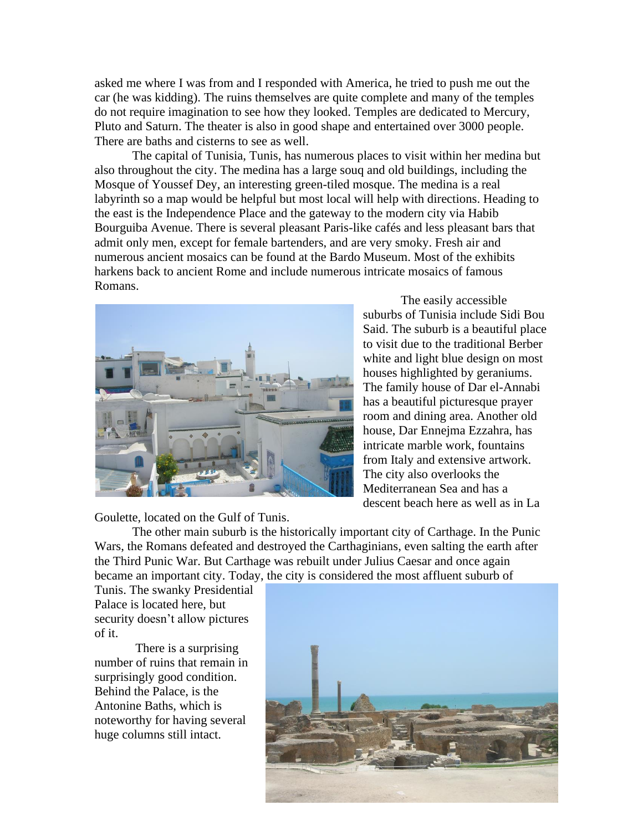asked me where I was from and I responded with America, he tried to push me out the car (he was kidding). The ruins themselves are quite complete and many of the temples do not require imagination to see how they looked. Temples are dedicated to Mercury, Pluto and Saturn. The theater is also in good shape and entertained over 3000 people. There are baths and cisterns to see as well.

The capital of Tunisia, Tunis, has numerous places to visit within her medina but also throughout the city. The medina has a large souq and old buildings, including the Mosque of Youssef Dey, an interesting green-tiled mosque. The medina is a real labyrinth so a map would be helpful but most local will help with directions. Heading to the east is the Independence Place and the gateway to the modern city via Habib Bourguiba Avenue. There is several pleasant Paris-like cafés and less pleasant bars that admit only men, except for female bartenders, and are very smoky. Fresh air and numerous ancient mosaics can be found at the Bardo Museum. Most of the exhibits harkens back to ancient Rome and include numerous intricate mosaics of famous Romans.



The easily accessible suburbs of Tunisia include Sidi Bou Said. The suburb is a beautiful place to visit due to the traditional Berber white and light blue design on most houses highlighted by geraniums. The family house of Dar el-Annabi has a beautiful picturesque prayer room and dining area. Another old house, Dar Ennejma Ezzahra, has intricate marble work, fountains from Italy and extensive artwork. The city also overlooks the Mediterranean Sea and has a descent beach here as well as in La

Goulette, located on the Gulf of Tunis.

The other main suburb is the historically important city of Carthage. In the Punic Wars, the Romans defeated and destroyed the Carthaginians, even salting the earth after the Third Punic War. But Carthage was rebuilt under Julius Caesar and once again became an important city. Today, the city is considered the most affluent suburb of

Tunis. The swanky Presidential Palace is located here, but security doesn't allow pictures of it.

There is a surprising number of ruins that remain in surprisingly good condition. Behind the Palace, is the Antonine Baths, which is noteworthy for having several huge columns still intact.